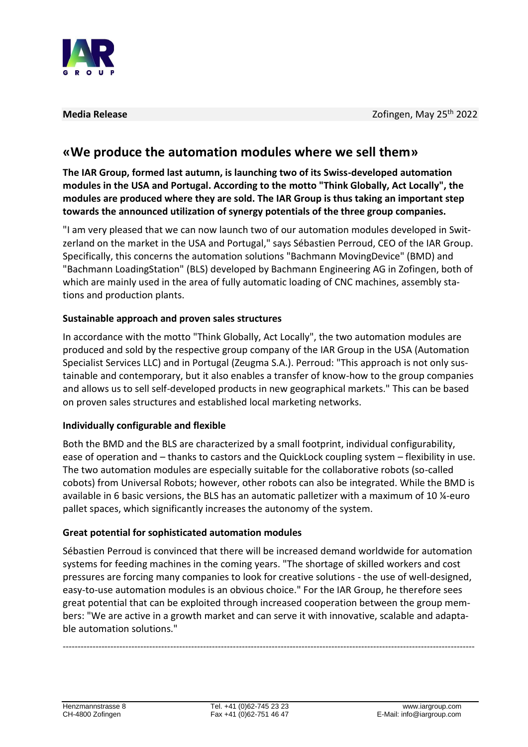

## **«We produce the automation modules where we sell them»**

**The IAR Group, formed last autumn, is launching two of its Swiss-developed automation modules in the USA and Portugal. According to the motto "Think Globally, Act Locally", the modules are produced where they are sold. The IAR Group is thus taking an important step towards the announced utilization of synergy potentials of the three group companies.**

"I am very pleased that we can now launch two of our automation modules developed in Switzerland on the market in the USA and Portugal," says Sébastien Perroud, CEO of the IAR Group. Specifically, this concerns the automation solutions "Bachmann MovingDevice" (BMD) and "Bachmann LoadingStation" (BLS) developed by Bachmann Engineering AG in Zofingen, both of which are mainly used in the area of fully automatic loading of CNC machines, assembly stations and production plants.

## **Sustainable approach and proven sales structures**

In accordance with the motto "Think Globally, Act Locally", the two automation modules are produced and sold by the respective group company of the IAR Group in the USA (Automation Specialist Services LLC) and in Portugal (Zeugma S.A.). Perroud: "This approach is not only sustainable and contemporary, but it also enables a transfer of know-how to the group companies and allows us to sell self-developed products in new geographical markets." This can be based on proven sales structures and established local marketing networks.

## **Individually configurable and flexible**

Both the BMD and the BLS are characterized by a small footprint, individual configurability, ease of operation and – thanks to castors and the QuickLock coupling system – flexibility in use. The two automation modules are especially suitable for the collaborative robots (so-called cobots) from Universal Robots; however, other robots can also be integrated. While the BMD is available in 6 basic versions, the BLS has an automatic palletizer with a maximum of 10 ¼-euro pallet spaces, which significantly increases the autonomy of the system.

## **Great potential for sophisticated automation modules**

Sébastien Perroud is convinced that there will be increased demand worldwide for automation systems for feeding machines in the coming years. "The shortage of skilled workers and cost pressures are forcing many companies to look for creative solutions - the use of well-designed, easy-to-use automation modules is an obvious choice." For the IAR Group, he therefore sees great potential that can be exploited through increased cooperation between the group members: "We are active in a growth market and can serve it with innovative, scalable and adaptable automation solutions."

------------------------------------------------------------------------------------------------------------------------------------------